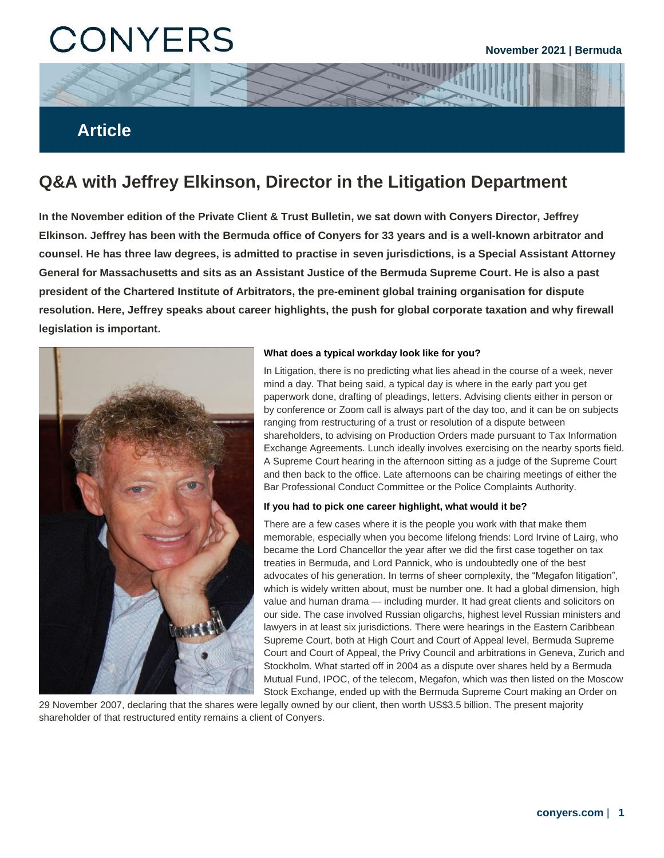# **CONYERS**

## **Article**

## **Q&A with Jeffrey Elkinson, Director in the Litigation Department**

**In the November edition of the Private Client & Trust Bulletin, we sat down with Conyers Director, Jeffrey Elkinson. Jeffrey has been with the Bermuda office of Conyers for 33 years and is a well-known arbitrator and counsel. He has three law degrees, is admitted to practise in seven jurisdictions, is a Special Assistant Attorney General for Massachusetts and sits as an Assistant Justice of the Bermuda Supreme Court. He is also a past president of the Chartered Institute of Arbitrators, the pre-eminent global training organisation for dispute resolution. Here, Jeffrey speaks about career highlights, the push for global corporate taxation and why firewall legislation is important.**



#### **What does a typical workday look like for you?**

In Litigation, there is no predicting what lies ahead in the course of a week, never mind a day. That being said, a typical day is where in the early part you get paperwork done, drafting of pleadings, letters. Advising clients either in person or by conference or Zoom call is always part of the day too, and it can be on subjects ranging from restructuring of a trust or resolution of a dispute between shareholders, to advising on Production Orders made pursuant to Tax Information Exchange Agreements. Lunch ideally involves exercising on the nearby sports field. A Supreme Court hearing in the afternoon sitting as a judge of the Supreme Court and then back to the office. Late afternoons can be chairing meetings of either the Bar Professional Conduct Committee or the Police Complaints Authority.

#### **If you had to pick one career highlight, what would it be?**

There are a few cases where it is the people you work with that make them memorable, especially when you become lifelong friends: Lord Irvine of Lairg, who became the Lord Chancellor the year after we did the first case together on tax treaties in Bermuda, and Lord Pannick, who is undoubtedly one of the best advocates of his generation. In terms of sheer complexity, the "Megafon litigation", which is widely written about, must be number one. It had a global dimension, high value and human drama — including murder. It had great clients and solicitors on our side. The case involved Russian oligarchs, highest level Russian ministers and lawyers in at least six jurisdictions. There were hearings in the Eastern Caribbean Supreme Court, both at High Court and Court of Appeal level, Bermuda Supreme Court and Court of Appeal, the Privy Council and arbitrations in Geneva, Zurich and Stockholm. What started off in 2004 as a dispute over shares held by a Bermuda Mutual Fund, IPOC, of the telecom, Megafon, which was then listed on the Moscow Stock Exchange, ended up with the Bermuda Supreme Court making an Order on

29 November 2007, declaring that the shares were legally owned by our client, then worth US\$3.5 billion. The present majority shareholder of that restructured entity remains a client of Conyers.